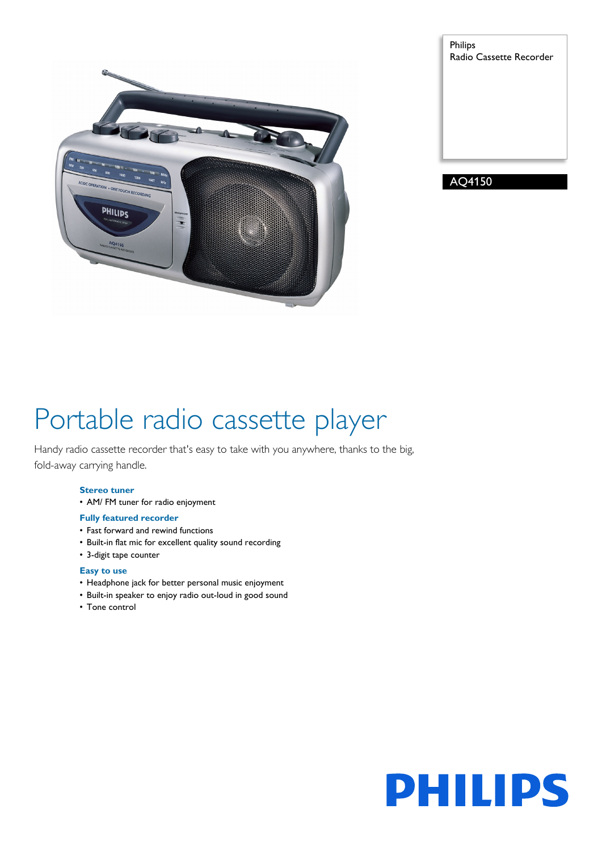

Philips Radio Cassette Recorder

AQ4150

# Portable radio cassette player

Handy radio cassette recorder that's easy to take with you anywhere, thanks to the big, fold-away carrying handle.

# **Stereo tuner**

• AM/ FM tuner for radio enjoyment

# **Fully featured recorder**

- Fast forward and rewind functions
- Built-in flat mic for excellent quality sound recording
- 3-digit tape counter

# **Easy to use**

- Headphone jack for better personal music enjoyment
- Built-in speaker to enjoy radio out-loud in good sound
- Tone control